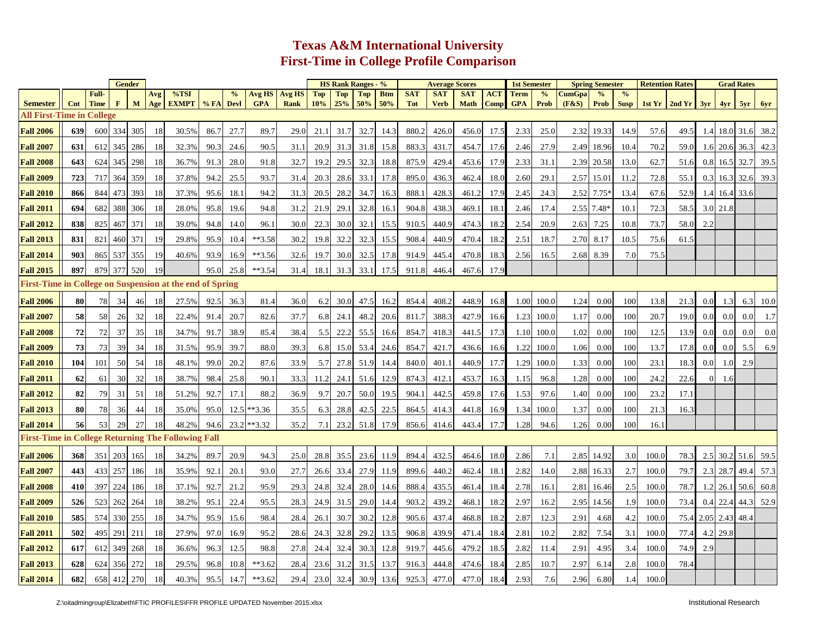## **Texas A&M International University First-Time in College Profile Comparison**

|                                                           |            |             | <b>Gender</b> |              |     |              |           |      |               |               |            | <b>HS Rank Ranges - %</b> |            |            |            |             | <b>Average Scores</b> |             | <b>1st Semester</b> |               |        | <b>Spring Semester</b> | <b>Retention Rates</b> |       |                       |                     |               | <b>Grad Rates</b>  |      |
|-----------------------------------------------------------|------------|-------------|---------------|--------------|-----|--------------|-----------|------|---------------|---------------|------------|---------------------------|------------|------------|------------|-------------|-----------------------|-------------|---------------------|---------------|--------|------------------------|------------------------|-------|-----------------------|---------------------|---------------|--------------------|------|
|                                                           |            | Full-       |               |              | Avg | %TSI         |           | $\%$ | Avg HS        | <b>Avg HS</b> | <b>Top</b> | <b>Top</b>                | <b>Top</b> | <b>Btm</b> | <b>SAT</b> | <b>SAT</b>  | <b>SAT</b>            | <b>ACT</b>  | <b>Term</b>         | $\frac{0}{0}$ | CumGpa |                        | $\frac{0}{0}$          |       |                       |                     |               |                    |      |
| <b>Semester</b><br><b>All First-Time in College</b>       | Cnt        | <b>Time</b> | $\mathbf{F}$  | $\mathbf{M}$ | Age | <b>EXMPT</b> | % FA Devl |      | <b>GPA</b>    | <b>Rank</b>   | 10%        | 25%                       | 50%        | 50%        | <b>Tot</b> | <b>Verb</b> | <b>Math</b>           | <b>Comp</b> | <b>GPA</b>          | <b>Prob</b>   | (F&S)  | <b>Prob</b>            | <b>Susp</b>            |       | 1st $Yr$ 2nd $Yr$ 3yr |                     |               | $4yr$ $5yr$ $6yr$  |      |
|                                                           |            |             |               |              |     |              |           |      |               |               |            |                           |            |            |            |             |                       |             |                     |               |        |                        |                        |       |                       |                     |               |                    |      |
| <b>Fall 2006</b>                                          | 639        | 600         | 334           | 305          | 18  | 30.5%        | 86.7      | 27.7 | 89.7          | 29.0          | 21.1       | 31.7                      | 32.7       | 14.3       | 880.2      | 426.0       | 456.0                 | 17.5        | 2.33                | 25.0          | 2.32   | 19.33                  | 14.9                   | 57.6  | 49.5                  |                     |               | 1.4 18.0 31.6 38.2 |      |
| <b>Fall 2007</b>                                          | 631        | 612         | 345           | 286          | 18  | 32.3%        | 90.3      | 24.6 | 90.5          | 31.1          | 20.9       | 31.3                      | 31.8       | 15.8       | 883.3      | 431.7       | 454.7                 | 17.6        | 2.46                | 27.9          | 2.49   | 18.96                  | 10.4                   | 70.2  | 59.0                  | 1.6                 | 20.6          | 36.3               | 42.3 |
| <b>Fall 2008</b>                                          | 643        | 624         | 345           | 298          | 18  | 36.7%        | 91.3      | 28.0 | 91.8          | 32.7          | 19.2       | 29.5                      | 32.3       | 18.8       | 875.9      | 429.4       | 453.6                 | 17.9        | 2.33                | 31.1          | 2.39   | 20.58                  | 13.0                   | 62.7  | 51.6                  | 0.8                 | 16.5 32.7     |                    | 39.5 |
| <b>Fall 2009</b>                                          | 723        | 717         | 364           | 359          | 18  | 37.8%        | 94.2      | 25.5 | 93.7          | 31.4          | 20.3       | 28.6                      | 33.1       | 17.8       | 895.0      | 436.3       | 462.4                 | 18.0        | 2.60                | 29.1          | 2.57   | 15.01                  | 11.2                   | 72.8  | 55.1                  | 0.3                 |               | $16.3$ 32.6        | 39.3 |
| <b>Fall 2010</b>                                          | 866        | 844         | 473           | 393          | -18 | 37.3%        | 95.6      | 18.1 | 94.2          | 31.3          | 20.5       | 28.2                      | 34.7       | 16.3       | 888.1      | 428.3       | 461.2                 | 17.9        | 2.45                | 24.3          | 2.52   | $7.75*$                | 13.4                   | 67.6  | 52.9                  |                     | 1.4 16.4 33.6 |                    |      |
| <b>Fall 2011</b>                                          | 694        | 682         | 388           | 306          | 18  | 28.0%        | 95.8      | 19.6 | 94.8          | 31.2          | 21.9       | 29.1                      | 32.8       | 16.1       | 904.8      | 438.3       | 469.1                 | 18.1        | 2.46                | 17.4          | 2.55   | $7.48*$                | 10.1                   | 72.3  | 58.5                  |                     | 3.0 21.8      |                    |      |
| <b>Fall 2012</b>                                          | 838        | 825         | 467           | 371          | 18  | 39.0%        | 94.8      | 14.0 | 96.1          | 30.0          | 22.3       | 30.0                      | 32.1       | 15.5       | 910.5      | 440.9       | 474.3                 | 18.2        | 2.54                | 20.9          | 2.63   | 7.25                   | 10.8                   | 73.7  | 58.0                  | 2.2                 |               |                    |      |
| <b>Fall 2013</b>                                          | 831        | 821         | 460           | 371          | 19  | 29.8%        | 95.9      | 10.4 | $**3.58$      | 30.2          | 19.8       | 32.2                      | 32.3       | 15.5       | 908.4      | 440.9       | 470.4                 | 18.2        | 2.51                | 18.7          | 2.70   | 8.17                   | 10.5                   | 75.6  | 61.5                  |                     |               |                    |      |
| <b>Fall 2014</b>                                          | 903        | 865         | 537           | 355          | 19  | 40.6%        | 93.9      | 16.9 | $**3.56$      | 32.6          | 19.7       | 30.0                      | 32.5       | 17.8       | 914.9      | 445.4       | 470.8                 | 18.3        | 2.56                | 16.5          | 2.68   | 8.39                   | 7.0                    | 75.5  |                       |                     |               |                    |      |
| <b>Fall 2015</b>                                          | 897        |             | 879 377       | 520          | 19  |              | 95.0      | 25.8 | $**3.54$      | 31.4          | 18.1       | 31.3                      | 33.1       | 17.5       | 911.8      | 446.4       | 467.6                 | 17.9        |                     |               |        |                        |                        |       |                       |                     |               |                    |      |
| First-Time in College on Suspension at the end of Spring  |            |             |               |              |     |              |           |      |               |               |            |                           |            |            |            |             |                       |             |                     |               |        |                        |                        |       |                       |                     |               |                    |      |
| <b>Fall 2006</b>                                          | 80         | 78          | 34            | 46           | 18  | 27.5%        | 92.5      | 36.3 | 81.4          | 36.0          | 6.2        | 30.0                      | 47.5       | 16.2       | 854.4      | 408.2       | 448.9                 | 16.8        | 1.00                | 100.0         | 1.24   | 0.00                   | 100                    | 13.8  | 21.3                  | 0.0                 | 1.3           | 6.3                | 10.0 |
| <b>Fall 2007</b>                                          | 58         | 58          | 26            | 32           | 18  | 22.4%        | 91.4      | 20.7 | 82.6          | 37.7          | 6.8        | 24.1                      | 48.2       | 20.6       | 811.7      | 388.3       | 427.9                 | 16.6        | 1.23                | 100.0         | 1.17   | 0.00                   | 100                    | 20.7  | 19.0                  | 0.0                 | 0.0           | 0.0                | 1.7  |
| <b>Fall 2008</b>                                          | 72         | 72          | 37            | 35           | 18  | 34.7%        | 91.7      | 38.9 | 85.4          | 38.4          | 5.5        | 22.2                      | 55.5       | 16.6       | 854.7      | 418.3       | 441.5                 | 17.3        | 1.10                | 100.0         | 1.02   | 0.00                   | 100                    | 12.5  | 13.9                  | 0.0                 | 0.0           | 0.0                | 0.0  |
| <b>Fall 2009</b>                                          | 73         | 73          | 39            | 34           | 18  | 31.5%        | 95.9      | 39.7 | 88.0          | 39.3          | 6.8        | 15.0                      | 53.4       | 24.6       | 854.7      | 421.7       | 436.6                 | 16.6        | 1.22                | 100.0         | 1.06   | 0.00                   | 100                    | 13.7  | 17.8                  | 0.0 <sub>l</sub>    | 0.01          | 5.5                | 6.9  |
| <b>Fall 2010</b>                                          | <b>104</b> | 101         | 50            | 54           | 18  | 48.1%        | 99.0      | 20.2 | 87.6          | 33.9          | 5.7        | 27.8                      | 51.9       | 14.4       | 840.0      | 401.1       | 440.9                 | 17.7        | 1.29                | 100.0         | 1.33   | 0.00                   | 100                    | 23.1  | 18.3                  | 0.0                 | 1.0           | 2.9                |      |
| <b>Fall 2011</b>                                          | 62         | 61          | 30            | 32           | 18  | 38.7%        | 98.4      | 25.8 | 90.1          | 33.3          | 11.2       | 24.1                      | 51.6       | 12.9       | 874.3      | 412.1       | 453.7                 | 16.3        | 1.15                | 96.8          | 1.28   | 0.00                   | 100                    | 24.2  | 22.6                  | $\Omega$            | 1.6           |                    |      |
| <b>Fall 2012</b>                                          | 82         | 79          | 31            | 51           | 18  | 51.2%        | 92.7      | 17.1 | 88.2          | 36.9          | 9.7        | 20.7                      | 50.0       | 19.5       | 904.1      | 442.5       | 459.8                 | 17.6        | 1.53                | 97.6          | 1.40   | 0.00                   | 100                    | 23.2  | 17.1                  |                     |               |                    |      |
| <b>Fall 2013</b>                                          | 80         | 78          | 36            | 44           | 18  | 35.0%        | 95.0      |      | 12.5 ** 3.36  | 35.5          | 6.3        | 28.8                      | 42.5       | 22.5       | 864.5      | 414.3       | 441.8                 | 16.9        | 1.34                | 100.0         | 1.37   | 0.00                   | 100                    | 21.3  | 16.3                  |                     |               |                    |      |
| <b>Fall 2014</b>                                          | 56         | 53          | 29            | 27           | 18  | 48.2%        | 94.6      |      | $23.2$ **3.32 | 35.2          | 7.1        | 23.2                      | 51.8       | 17.9       | 856.6      | 414.6       | 443.4                 | 17.7        | 1.28                | 94.6          | 1.26   | 0.00                   | 100                    | 16.1  |                       |                     |               |                    |      |
| <b>First-Time in College Returning The Following Fall</b> |            |             |               |              |     |              |           |      |               |               |            |                           |            |            |            |             |                       |             |                     |               |        |                        |                        |       |                       |                     |               |                    |      |
| <b>Fall 2006</b>                                          | 368        | 351         | 203           | 165          | 18  | 34.2%        | 89.7      | 20.9 | 94.3          | 25.0          | 28.8       | 35.5                      | 23.6       | 11.9       | 894.4      | 432.5       | 464.6                 | 18.0        | 2.86                | 7.1           | 2.85   | 14.92                  | 3.0                    | 100.0 | 78.3                  | 2.5                 |               | $30.2$ 51.6        | 59.5 |
| <b>Fall 2007</b>                                          | 443        | 4331        | 257           | 186          | 18  | 35.9%        | 92.1      | 20.1 | 93.0          | 27.7          | 26.6       | 33.4                      | 27.9       | 11.9       | 899.6      | 440.2       | 462.4                 | 18.1        | 2.82                | 14.0          | 2.88   | 16.33                  | 2.7                    | 100.0 | 79.7                  | 2.3                 | 28.7          | 49.4               | 57.3 |
| <b>Fall 2008</b>                                          | 410        | 397         | 224           | 186          | 18  | 37.1%        | 92.7      | 21.2 | 95.9          | 29.3          | 24.8       | 32.4                      | 28.0       | 14.6       | 888.4      | 435.5       | 461.4                 | 18.4        | 2.78                | 16.1          | 2.81   | 16.46                  | 2.5                    | 100.0 | 78.7                  | 1.2                 | 26.1 50.6     |                    | 60.8 |
| <b>Fall 2009</b>                                          | 526        | 523         | 262           | 264          | 18  | 38.2%        | 95.1      | 22.4 | 95.5          | 28.3          | 24.9       | 31.5                      | 29.0       | 14.4       | 903.2      | 439.2       | 468.1                 | 18.2        | 2.97                | 16.2          | 2.95   | 14.56                  | 1.9                    | 100.0 | 73.4                  | 0.4                 |               | $22.4$ 44.3        | 52.9 |
| <b>Fall 2010</b>                                          | 585        | 574         | 330           | 255          | 18  | 34.7%        | 95.9      | 15.6 | 98.4          | 28.4          | 26.1       | 30.7                      | 30.2       | 12.8       | 905.6      | 437.4       | 468.8                 | 18.2        | 2.87                | 12.3          | 2.91   | 4.68                   | 4.2                    | 100.0 |                       | 75.4 2.05 2.43 48.4 |               |                    |      |
| <b>Fall 2011</b>                                          | 502        | 495         | 291           | 211          | 18  | 27.9%        | 97.0      | 16.9 | 95.2          | 28.6          | 24.3       | 32.8                      | 29.2       | 13.5       | 906.8      | 439.9       | 471.4                 | 18.4        | 2.81                | 10.2          | 2.82   | 7.54                   | 3.1                    | 100.0 | 77.4                  | 4.2                 | 29.8          |                    |      |
| <b>Fall 2012</b>                                          | 617        | 612         | 349           | 268          | 18  | 36.6%        | 96.3      | 12.5 | 98.8          | 27.8          | 24.4       | 32.4                      | 30.3       | 12.8       | 919.7      | 445.6       | 479.2                 | 18.5        | 2.82                | 11.4          | 2.91   | 4.95                   | 3.4                    | 100.0 | 74.9                  | 2.9                 |               |                    |      |
| <b>Fall 2013</b>                                          | 628        | 624         | 356           | 272          | 18  | 29.5%        | 96.8      | 10.8 | $**3.62$      | 28.4          | 23.6       | 31.2                      | 31.5       | 13.7       | 916.3      | 444.8       | 474.6                 | 18.4        | 2.85                | 10.7          | 2.97   | 6.14                   | 2.8                    | 100.0 | 78.4                  |                     |               |                    |      |
| <b>Fall 2014</b>                                          | 682        |             | 658 412       | 270          | 18  | 40.3%        | 95.5      | 14.7 | $**3.62$      | 29.4          | 23.0       | 32.4                      | 30.9       | 13.6       | 925.3      | 477.0       | 477.0                 | 18.4        | 2.93                | 7.6           | 2.96   | 6.80                   | 1.4                    | 100.0 |                       |                     |               |                    |      |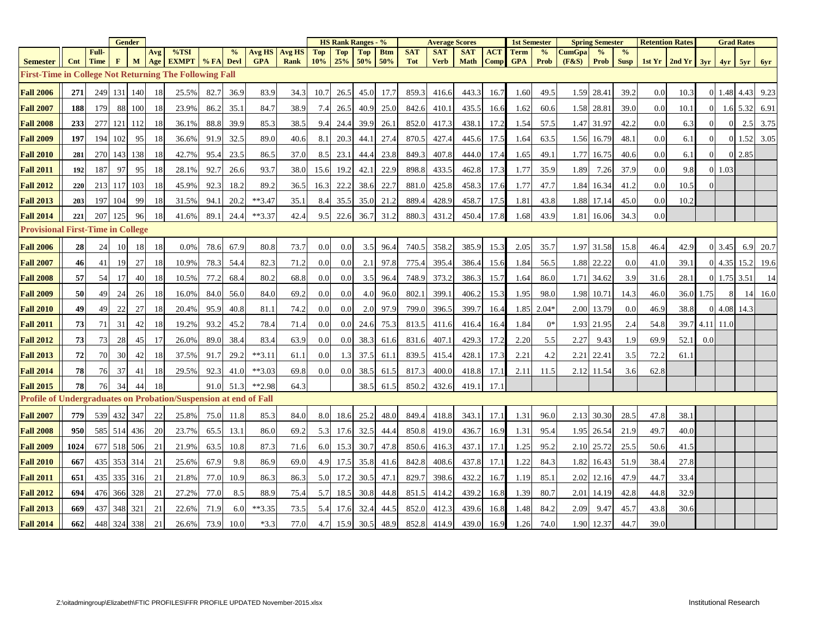|                                                                  |      |                      | <b>Gender</b> |        |     |              |      |               |                             |               | <b>HS Rank Ranges - %</b> |            |            |            |                          | <b>Average Scores</b> |             |            | <b>1st Semester</b> |               | <b>Spring Semester</b> |             |               | <b>Retention Rates</b> |       |                |                | <b>Grad Rates</b> |         |
|------------------------------------------------------------------|------|----------------------|---------------|--------|-----|--------------|------|---------------|-----------------------------|---------------|---------------------------|------------|------------|------------|--------------------------|-----------------------|-------------|------------|---------------------|---------------|------------------------|-------------|---------------|------------------------|-------|----------------|----------------|-------------------|---------|
|                                                                  |      | Full-<br><b>Time</b> | $\mathbf{F}$  |        | Avg | %TSI         |      | $\frac{0}{0}$ | <b>Avg HS</b><br><b>GPA</b> | <b>Avg HS</b> | Top<br>10%                | Top<br>25% | <b>Top</b> | <b>Btm</b> | <b>SAT</b><br><b>Tot</b> | <b>SAT</b>            | <b>SAT</b>  | <b>ACT</b> | <b>Term</b>         | $\frac{6}{6}$ | <b>JumGpa</b>          | $\%$        | $\frac{0}{0}$ |                        |       |                |                |                   |         |
| <b>Semester</b>                                                  | Cnt  |                      |               | M      | Age | <b>EXMPT</b> | %FA  | <b>Devl</b>   |                             | <b>Rank</b>   |                           |            | 50%        | 50%        |                          | <b>Verb</b>           | <b>Math</b> | Comp       | <b>GPA</b>          | Prob          | (F&S)                  | <b>Prob</b> | <b>Susp</b>   | 1st Yr                 | 2ndYr | 3yr            | 4yr            | 5yr               | 6yr     |
| <b>First-Time in College Not Returning The Following Fall</b>    |      |                      |               |        |     |              |      |               |                             |               |                           |            |            |            |                          |                       |             |            |                     |               |                        |             |               |                        |       |                |                |                   |         |
| <b>Fall 2006</b>                                                 | 271  | 249                  | 131           | 140    | 18  | 25.5%        | 82.7 | 36.9          | 83.9                        | 34.3          | 10.7                      | 26.5       | 45.0       | 17.7       | 859.3                    | 416.6                 | 443.3       | 16.7       | 1.60                | 49.5          | 1.59                   | 28.41       | 39.2          | 0.0                    | 10.3  |                | 0 1.48 4.43    |                   | 9.23    |
| <b>Fall 2007</b>                                                 | 188  | 179                  |               | 88 100 | 18  | 23.9%        | 86.2 | 35.1          | 84.7                        | 38.9          | 7.4                       | 26.5       | 40.9       | 25.0       | 842.6                    | 410.1                 | 435.5       | 16.6       | 1.62                | 60.6          | 1.58                   | 28.81       | 39.0          | 0.0                    | 10.1  | $\overline{0}$ |                | $1.6$ 5.32 6.91   |         |
| <b>Fall 2008</b>                                                 | 233  | 277                  | 121 112       |        | 18  | 36.1%        | 88.8 | 39.9          | 85.3                        | 38.5          | 9.4                       | 24.4       | 39.9       | 26.1       | 852.0                    | 417.3                 | 438.1       | 17.2       | 1.54                | 57.5          | 1.47                   | 31.97       | 42.2          | 0.0                    | 6.3   | $\overline{0}$ | $\overline{0}$ | 2.5               | 3.75    |
| <b>Fall 2009</b>                                                 | 197  | 194                  | 102           | 95     | 18  | 36.6%        | 91.9 | 32.5          | 89.0                        | 40.6          | 8.1                       | 20.3       | 44.1       | 27.4       | 870.5                    | 427.4                 | 445.6       | 17.5       | 1.64                | 63.5          | 1.56                   | 16.79       | 48.1          | 0.0                    | 6.1   | $\overline{0}$ |                | 0 1.52            | 3.05    |
| <b>Fall 2010</b>                                                 | 281  | <b>270</b>           | 143           | 138    | 18  | 42.7%        | 95.4 | 23.5          | 86.5                        | 37.0          | 8.5                       | 23.1       | 44.4       | 23.8       | 849.3                    | 407.8                 | 444.0       | 17.4       | 1.65                | 49.1          | 1.77                   | 16.75       | 40.6          | 0.0                    | 6.1   | $\overline{0}$ |                | 0 2.85            |         |
| <b>Fall 2011</b>                                                 | 192  | 187                  | 97            | 95     | 18  | 28.1%        | 92.7 | 26.6          | 93.7                        | 38.0          | 15.6                      | 19.2       | 42.1       | 22.9       | 898.8                    | 433.5                 | 462.8       | 17.3       | 1.77                | 35.9          | 1.89                   | 7.26        | 37.9          | 0.0                    | 9.8   |                | 0 1.03         |                   |         |
| <b>Fall 2012</b>                                                 | 220  | 213                  | 117           | 103    | 18  | 45.9%        | 92.3 | 18.2          | 89.2                        | 36.5          | 16.3                      | 22.2       | 38.6       | 22.7       | 881.0                    | 425.8                 | 458.3       | 17.6       | 1.77                | 47.7          | 1.84                   | 16.34       | 41.2          | 0.0                    | 10.5  |                |                |                   |         |
| <b>Fall 2013</b>                                                 | 203  | 197                  | 104           | 99     | 18  | 31.5%        | 94.1 | 20.2          | $**3.47$                    | 35.1          | 8.4                       | 35.5       | 35.0       | 21.2       | 889.4                    | 428.9                 | 458.7       | 17.5       | 1.81                | 43.8          | 1.88                   | 17.14       | 45.0          | 0.0                    | 10.2  |                |                |                   |         |
| <b>Fall 2014</b>                                                 | 221  | 207                  | 125           | 96     | 18  | 41.6%        | 89.1 | 24.4          | $**3.37$                    | 42.4          | 9.5                       | 22.6       | 36.7       | 31.2       | 880.3                    | 431.2                 | 450.4       | 17.8       | 1.68                | 43.9          | 1.81                   | 16.06       | 34.3          | 0.0                    |       |                |                |                   |         |
| <b>Provisional First-Time in College</b>                         |      |                      |               |        |     |              |      |               |                             |               |                           |            |            |            |                          |                       |             |            |                     |               |                        |             |               |                        |       |                |                |                   |         |
| <b>Fall 2006</b>                                                 | 28   | 24                   | -10           | 18     | 18  | 0.0%         | 78.6 | 67.9          | 80.8                        | 73.7          | 0.0                       | 0.0        | 3.5        | 96.4       | 740.5                    | 358.2                 | 385.9       | 15.3       | 2.05                | 35.7          | 1.97                   | 31.58       | 15.8          | 46.4                   | 42.9  |                | 0 3.45         | 6.9               | 20.7    |
| <b>Fall 2007</b>                                                 | 46   | 41                   | 19            | 27     | 18  | 10.9%        | 78.3 | 54.4          | 82.3                        | 71.2          | 0.0                       | 0.0        | 2.1        | 97.8       | 775.4                    | 395.4                 | 386.4       | 15.6       | 1.84                | 56.5          | 1.88                   | 22.22       | 0.0           | 41.0                   | 39.1  |                | 0 4.35 15.2    |                   | 19.6    |
| <b>Fall 2008</b>                                                 | 57   | 54                   | 17            | 40     | 18  | 10.5%        | 77.2 | 68.4          | 80.2                        | 68.8          | 0.0                       | 0.0        | 3.5        | 96.4       | 748.9                    | 373.2                 | 386.3       | 15.7       | 1.64                | 86.0          | 1.71                   | 34.62       | 3.9           | 31.6                   | 28.1  | $\overline{0}$ | $1.75$ 3.51    |                   | -14     |
| <b>Fall 2009</b>                                                 | 50   | 49                   | 24            | 26     | 18  | 16.0%        | 84.0 | 56.0          | 84.0                        | 69.2          | 0.0                       | 0.0        | 4.0        | 96.0       | 802.1                    | 399.                  | 406.2       | 15.3       | 1.95                | 98.0          | 1.98                   | 10.71       | 14.3          | 46.0                   |       | 36.0 1.75      | 8              |                   | 14 16.0 |
| <b>Fall 2010</b>                                                 | 49   | 49                   | 22            | 27     | 18  | 20.4%        | 95.9 | 40.8          | 81.1                        | 74.2          | 0.0                       | 0.0        | 2.0        | 97.9       | 799.0                    | 396.5                 | 399.7       | 16.4       | 1.85                | $2.04*$       | 2.00                   | 13.79       | 0.0           | 46.9                   | 38.8  |                | 0 4.08 14.3    |                   |         |
| <b>Fall 2011</b>                                                 | 73   | 71                   | 31            | 42     | 18  | 19.2%        | 93.2 | 45.2          | 78.4                        | 71.4          | 0.0                       | 0.0        | 24.6       | 75.3       | 813.5                    | 411.6                 | 416.4       | 16.4       | 1.84                | $0^*$         | 1.93                   | 21.95       | 2.4           | 54.8                   | 39.7  | 4.11 11.0      |                |                   |         |
| <b>Fall 2012</b>                                                 | 73   | 73                   | 28            | 45     | 17  | 26.0%        | 89.0 | 38.4          | 83.4                        | 63.9          | 0.0                       | 0.0        | 38.3       | 61.6       | 831.6                    | 407.                  | 429.3       | 17.2       | 2.20                | 5.5           | 2.27                   | 9.43        | 1.9           | 69.9                   | 52.1  | 0.0            |                |                   |         |
| <b>Fall 2013</b>                                                 | 72   | 70                   | 30            | 42     | 18  | 37.5%        | 91.7 | 29.2          | $***3.11$                   | 61.1          | 0.0                       | 1.3        | 37.5       | 61.1       | 839.5                    | 415.4                 | 428.1       | 17.3       | 2.21                | 4.2           | 2.21                   | 22.41       | 3.5           | 72.2                   | 61.1  |                |                |                   |         |
| <b>Fall 2014</b>                                                 | 78   | 76                   | 37            | 41     | 18  | 29.5%        | 92.3 | 41.0          | $**3.03$                    | 69.8          | 0.0                       | 0.0        | 38.5       | 61.5       | 817.3                    | 400.0                 | 418.8       | 17.1       | 2.11                | 11.5          | 2.12                   | 11.54       | 3.6           | 62.8                   |       |                |                |                   |         |
| <b>Fall 2015</b>                                                 | 78   | 76                   | 34            | 44     | 18  |              | 91.0 | 51.3          | $**2.98$                    | 64.3          |                           |            | 38.5       | 61.5       | 850.2                    | 432.6                 | 419.1       | 17.1       |                     |               |                        |             |               |                        |       |                |                |                   |         |
| Profile of Undergraduates on Probation/Suspension at end of Fall |      |                      |               |        |     |              |      |               |                             |               |                           |            |            |            |                          |                       |             |            |                     |               |                        |             |               |                        |       |                |                |                   |         |
| <b>Fall 2007</b>                                                 | 779  | 539                  | 432 347       |        | 22  | 25.8%        | 75.0 | 11.8          | 85.3                        | 84.0          | 8.0                       | 18.6       | 25.2       | 48.0       | 849.4                    | 418.8                 | 343.1       | 17.1       | 1.31                | 96.0          | 2.13                   | 30.30       | 28.5          | 47.8                   | 38.1  |                |                |                   |         |
| <b>Fall 2008</b>                                                 | 950  |                      | 585 514 436   |        | 20  | 23.7%        | 65.5 | 13.1          | 86.0                        | 69.2          | 5.3                       | 17.6       | 32.5       | 44.4       | 850.8                    | 419.0                 | 436.7       | 16.9       | 1.31                | 95.4          | 1.95                   | 26.54       | 21.9          | 49.7                   | 40.0  |                |                |                   |         |
| <b>Fall 2009</b>                                                 | 1024 |                      | 677 518 506   |        | 21  | 21.9%        | 63.5 | 10.8          | 87.3                        | 71.6          | 6.0                       | 15.3       | 30.7       | 47.8       | 850.6                    | 416.3                 | 437.1       | 17.1       | 1.25                | 95.2          | 2.10                   | 25.72       | 25.5          | 50.6                   | 41.5  |                |                |                   |         |
| <b>Fall 2010</b>                                                 | 667  |                      | 435 353 314   |        | 21  | 25.6%        | 67.9 | 9.8           | 86.9                        | 69.0          | 4.9                       | 17.5       | 35.8       | 41.6       | 842.8                    | 408.6                 | 437.8       | 17.1       | 1.22                | 84.3          | 1.82                   | 16.43       | 51.9          | 38.4                   | 27.8  |                |                |                   |         |
| <b>Fall 2011</b>                                                 | 651  |                      | 435 335 316   |        | 21  | 21.8%        | 77.0 | 10.9          | 86.3                        | 86.3          | 5.0                       | 17.2       | 30.5       | 47.1       | 829.7                    | 398.6                 | 432.2       | 16.7       | 1.19                | 85.1          | 2.02                   | 12.16       | 47.9          | 44.7                   | 33.4  |                |                |                   |         |
| <b>Fall 2012</b>                                                 | 694  | 476                  | 366 328       |        | 21  | 27.2%        | 77.0 | 8.5           | 88.9                        | 75.4          | 5.7                       | 18.5       | 30.8       | 44.8       | 851.5                    | 414.2                 | 439.2       | 16.8       | 1.39                | 80.7          | 2.01                   | 14.19       | 42.8          | 44.8                   | 32.9  |                |                |                   |         |
| <b>Fall 2013</b>                                                 | 669  | 437                  | 348           | 321    | 21  | 22.6%        | 71.9 | 6.0           | $**3.35$                    | 73.5          | 5.4                       | 17.6       | 32.4       | 44.5       | 852.0                    | 412.3                 | 439.6       | 16.8       | 1.48                | 84.2          | 2.09                   | 9.47        | 45.7          | 43.8                   | 30.6  |                |                |                   |         |
| <b>Fall 2014</b>                                                 | 662  |                      | 448 324 338   |        | 21  | 26.6%        | 73.9 | 10.0          | $*3.3$                      | 77.0          | 4.7                       | 15.9       | 30.5       | 48.9       | 852.8                    | 414.9                 | 439.0       | 16.9       | 1.26                | 74.0          | 1.90                   | 12.37       | 44.7          | 39.0                   |       |                |                |                   |         |